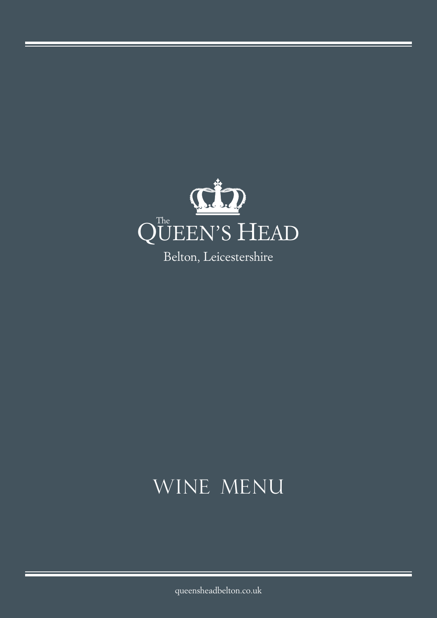

# WINE MENU